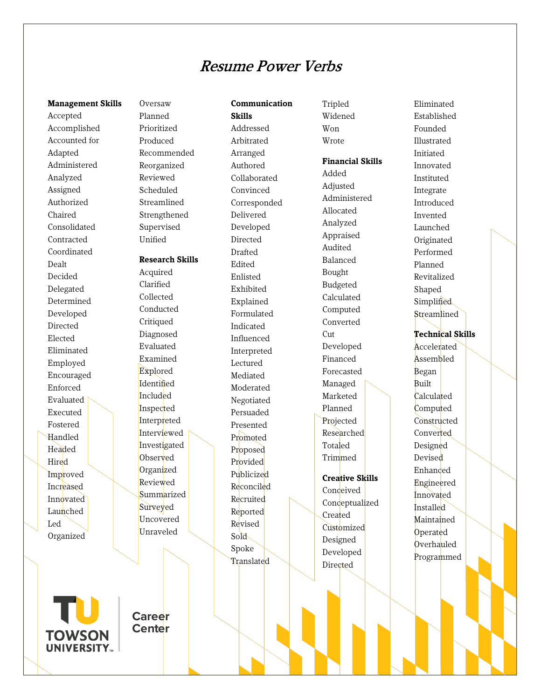# Resume Power Verbs

**Communication**

**Skills**

### **Management Skills**

Accepted Accomplished Accounted for Adapted Administered Analyzed Assigned Authorized Chaired Consolidated Contracted Coordinated Dealt Decided Delegated Determined Developed Directed Elected Eliminated Employed Encouraged Enforced Evaluated Executed Fostered Handled Headed Hired Improved Increased **Innovated** Launched Led Organized

Oversaw Planned Prioritized Produced Recommended Reorganized Reviewed Scheduled Streamlined Strengthened Supervised Unified

### **Research Skills**

Acquired Clarified Collected Conducted **Critiqued** Diagnosed Evaluated Examined Explored Identified Included Inspected Interpreted Interviewed Investigated **Observed** Organized Reviewed **Summarized** Surveyed Uncovered Unraveled

Addressed Arbitrated Arranged Authored Collaborated Convinced Corresponded Delivered Developed Directed Drafted Edited Enlisted Exhibited Explained Formulated Indicated Influenced Interpreted Lectured Mediated Moderated Negotiated Persuaded Presented Promoted Proposed Provided Publicized Reconciled Recruited Reported Revised Sold Spoke **Translated** 

Tripled Widened Won Wrote

### **Financial Skills**

Added Adjusted Administered Allocated Analyzed Appraised Audited Balanced Bought Budgeted Calculated Computed Converted Cut Developed Financed Forecasted Managed Marketed Planned Projected Researched Totaled Trimmed

# **Creative Skills** Conceived Conceptualized Created Customized Designed

Developed Directed

Established Founded Illustrated Initiated Innovated Instituted Integrate Introduced Invented Launched Originated Performed Planned Revitalized Shaped **Simplified Streamlined Technical Skills** Accelerated Assembled Began Built Calculated **Computed Constructed** Converted Designed Devised Enhanced Engineered Innovated Installed Maintained Operated Overhauled

Programmed

Eliminated

**TOWSON UNIVERSITY...** 

**Career Center**